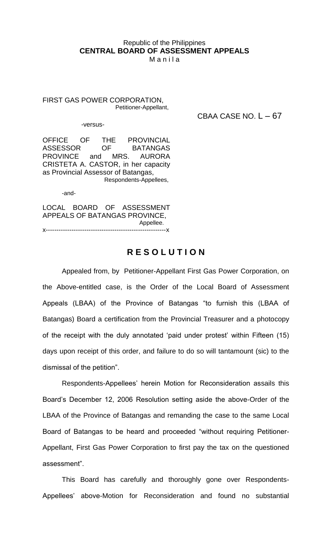## Republic of the Philippines **CENTRAL BOARD OF ASSESSMENT APPEALS**

M a n i l a

FIRST GAS POWER CORPORATION, Petitioner-Appellant,

CBAA CASE NO.  $L - 67$ 

-versus-

OFFICE OF THE PROVINCIAL ASSESSOR OF BATANGAS PROVINCE and MRS. AURORA CRISTETA A. CASTOR, in her capacity as Provincial Assessor of Batangas, Respondents-Appellees,

-and-

LOCAL BOARD OF ASSESSMENT APPEALS OF BATANGAS PROVINCE, Appellee. x--------------------------------------------------------x

## **R E S O L U T I O N**

Appealed from, by Petitioner-Appellant First Gas Power Corporation, on the Above-entitled case, is the Order of the Local Board of Assessment Appeals (LBAA) of the Province of Batangas "to furnish this (LBAA of Batangas) Board a certification from the Provincial Treasurer and a photocopy of the receipt with the duly annotated 'paid under protest' within Fifteen (15) days upon receipt of this order, and failure to do so will tantamount (sic) to the dismissal of the petition".

Respondents-Appellees' herein Motion for Reconsideration assails this Board's December 12, 2006 Resolution setting aside the above-Order of the LBAA of the Province of Batangas and remanding the case to the same Local Board of Batangas to be heard and proceeded "without requiring Petitioner-Appellant, First Gas Power Corporation to first pay the tax on the questioned assessment".

This Board has carefully and thoroughly gone over Respondents-Appellees' above-Motion for Reconsideration and found no substantial